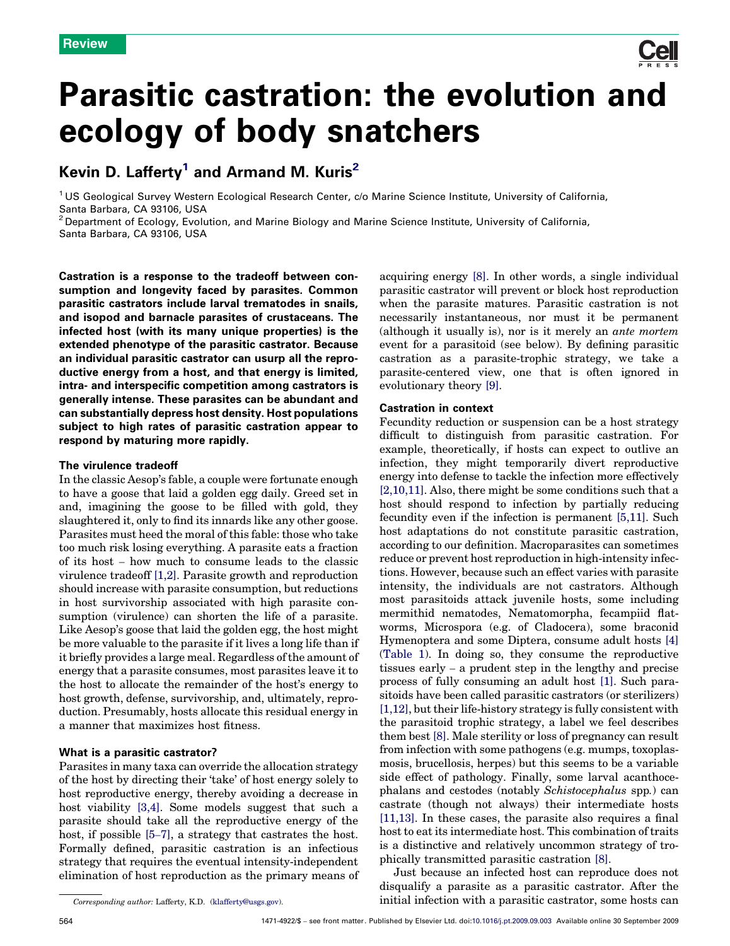# Parasitic castration: the evolution and ecology of body snatchers

## Kevin D. Lafferty<sup>1</sup> and Armand M. Kuris<sup>2</sup>

<sup>1</sup> US Geological Survey Western Ecological Research Center, c/o Marine Science Institute, University of California, Santa Barbara, CA 93106, USA

<sup>2</sup> Department of Ecology, Evolution, and Marine Biology and Marine Science Institute, University of California, Santa Barbara, CA 93106, USA

Castration is a response to the tradeoff between consumption and longevity faced by parasites. Common parasitic castrators include larval trematodes in snails, and isopod and barnacle parasites of crustaceans. The infected host (with its many unique properties) is the extended phenotype of the parasitic castrator. Because an individual parasitic castrator can usurp all the reproductive energy from a host, and that energy is limited, intra- and interspecific competition among castrators is generally intense. These parasites can be abundant and can substantially depress host density. Host populations subject to high rates of parasitic castration appear to respond by maturing more rapidly.

### The virulence tradeoff

In the classic Aesop's fable, a couple were fortunate enough to have a goose that laid a golden egg daily. Greed set in and, imagining the goose to be filled with gold, they slaughtered it, only to find its innards like any other goose. Parasites must heed the moral of this fable: those who take too much risk losing everything. A parasite eats a fraction of its host – how much to consume leads to the classic virulence tradeoff [\[1,2\]](#page-7-0). Parasite growth and reproduction should increase with parasite consumption, but reductions in host survivorship associated with high parasite consumption (virulence) can shorten the life of a parasite. Like Aesop's goose that laid the golden egg, the host might be more valuable to the parasite if it lives a long life than if it briefly provides a large meal. Regardless of the amount of energy that a parasite consumes, most parasites leave it to the host to allocate the remainder of the host's energy to host growth, defense, survivorship, and, ultimately, reproduction. Presumably, hosts allocate this residual energy in a manner that maximizes host fitness.

#### What is a parasitic castrator?

Parasites in many taxa can override the allocation strategy of the host by directing their 'take' of host energy solely to host reproductive energy, thereby avoiding a decrease in host viability [\[3,4\]](#page-7-0). Some models suggest that such a parasite should take all the reproductive energy of the host, if possible  $[5-7]$  $[5-7]$ , a strategy that castrates the host. Formally defined, parasitic castration is an infectious strategy that requires the eventual intensity-independent elimination of host reproduction as the primary means of acquiring energy [\[8\]](#page-7-0). In other words, a single individual parasitic castrator will prevent or block host reproduction when the parasite matures. Parasitic castration is not necessarily instantaneous, nor must it be permanent (although it usually is), nor is it merely an ante mortem event for a parasitoid (see below). By defining parasitic castration as a parasite-trophic strategy, we take a parasite-centered view, one that is often ignored in evolutionary theory [\[9\].](#page-7-0)

### Castration in context

Fecundity reduction or suspension can be a host strategy difficult to distinguish from parasitic castration. For example, theoretically, if hosts can expect to outlive an infection, they might temporarily divert reproductive energy into defense to tackle the infection more effectively [\[2,10,11\].](#page-7-0) Also, there might be some conditions such that a host should respond to infection by partially reducing fecundity even if the infection is permanent [\[5,11\].](#page-7-0) Such host adaptations do not constitute parasitic castration, according to our definition. Macroparasites can sometimes reduce or prevent host reproduction in high-intensity infections. However, because such an effect varies with parasite intensity, the individuals are not castrators. Although most parasitoids attack juvenile hosts, some including mermithid nematodes, Nematomorpha, fecampiid flatworms, Microspora (e.g. of Cladocera), some braconid Hymenoptera and some Diptera, consume adult hosts [\[4\]](#page-7-0) ([Table 1\)](#page-1-0). In doing so, they consume the reproductive tissues early – a prudent step in the lengthy and precise process of fully consuming an adult host [\[1\].](#page-7-0) Such parasitoids have been called parasitic castrators (or sterilizers) [\[1,12\],](#page-7-0) but their life-history strategy is fully consistent with the parasitoid trophic strategy, a label we feel describes them best [\[8\].](#page-7-0) Male sterility or loss of pregnancy can result from infection with some pathogens (e.g. mumps, toxoplasmosis, brucellosis, herpes) but this seems to be a variable side effect of pathology. Finally, some larval acanthocephalans and cestodes (notably Schistocephalus spp.) can castrate (though not always) their intermediate hosts [\[11,13\]](#page-7-0). In these cases, the parasite also requires a final host to eat its intermediate host. This combination of traits is a distinctive and relatively uncommon strategy of trophically transmitted parasitic castration [\[8\].](#page-7-0)

Just because an infected host can reproduce does not disqualify a parasite as a parasitic castrator. After the initial infection with a parasitic castrator, some hosts can



Corresponding author: Lafferty, K.D. ([klafferty@usgs.gov\)](mailto:klafferty@usgs.gov).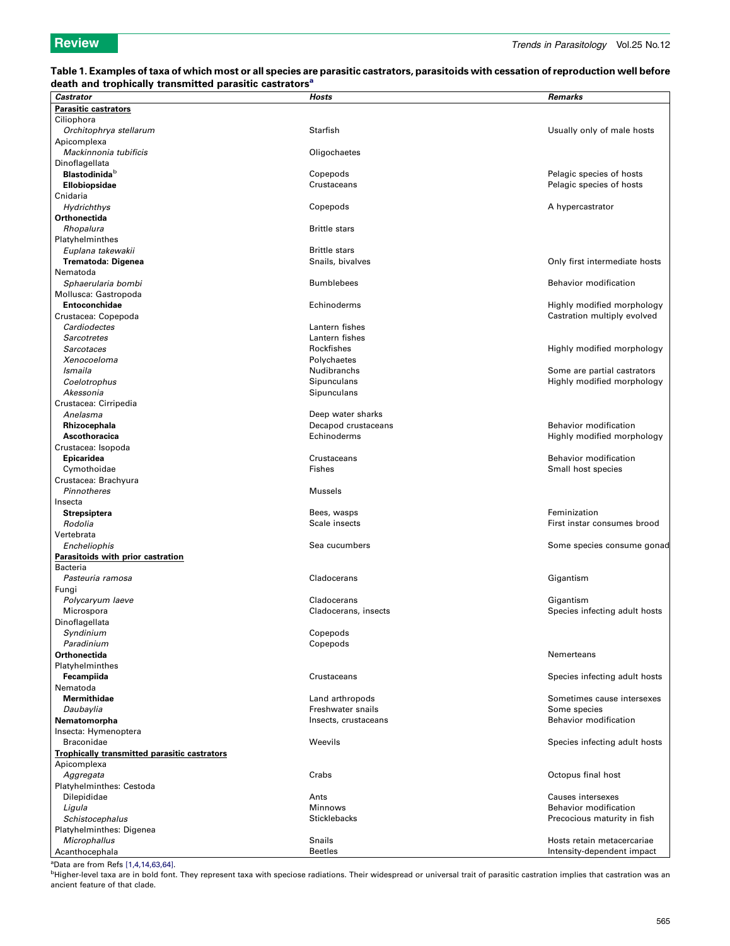#### <span id="page-1-0"></span>Table 1. Examples of taxa of which most or all species are parasitic castrators, parasitoids with cessation of reproduction well before death and trophically transmitted parasitic castrators<sup>a</sup>

| Castrator                                    | <b>Hosts</b>         | Remarks                       |
|----------------------------------------------|----------------------|-------------------------------|
| <b>Parasitic castrators</b>                  |                      |                               |
| Ciliophora                                   |                      |                               |
| Orchitophrya stellarum                       | <b>Starfish</b>      | Usually only of male hosts    |
| Apicomplexa                                  |                      |                               |
| Mackinnonia tubificis                        | Oligochaetes         |                               |
| Dinoflagellata                               |                      |                               |
| Blastodinida <sup>b</sup>                    | Copepods             | Pelagic species of hosts      |
|                                              | Crustaceans          |                               |
| Ellobiopsidae                                |                      | Pelagic species of hosts      |
| Cnidaria                                     |                      |                               |
| Hydrichthys                                  | Copepods             | A hypercastrator              |
| Orthonectida                                 |                      |                               |
| Rhopalura                                    | <b>Brittle stars</b> |                               |
| Platyhelminthes                              |                      |                               |
| Euplana takewakii                            | <b>Brittle stars</b> |                               |
| Trematoda: Digenea                           | Snails, bivalves     | Only first intermediate hosts |
| Nematoda                                     |                      |                               |
| Sphaerularia bombi                           | <b>Bumblebees</b>    | Behavior modification         |
| Mollusca: Gastropoda                         |                      |                               |
| <b>Entoconchidae</b>                         | Echinoderms          | Highly modified morphology    |
| Crustacea: Copepoda                          |                      | Castration multiply evolved   |
| Cardiodectes                                 | Lantern fishes       |                               |
| <b>Sarcotretes</b>                           | Lantern fishes       |                               |
| Sarcotaces                                   | Rockfishes           | Highly modified morphology    |
| Xenocoeloma                                  | Polychaetes          |                               |
| Ismaila                                      | Nudibranchs          | Some are partial castrators   |
|                                              |                      |                               |
| Coelotrophus                                 | Sipunculans          | Highly modified morphology    |
| Akessonia                                    | Sipunculans          |                               |
| Crustacea: Cirripedia                        |                      |                               |
| Anelasma                                     | Deep water sharks    |                               |
| Rhizocephala                                 | Decapod crustaceans  | Behavior modification         |
| Ascothoracica                                | Echinoderms          | Highly modified morphology    |
| Crustacea: Isopoda                           |                      |                               |
| Epicaridea                                   | Crustaceans          | Behavior modification         |
| Cymothoidae                                  | Fishes               | Small host species            |
| Crustacea: Brachyura                         |                      |                               |
| Pinnotheres                                  | Mussels              |                               |
| Insecta                                      |                      |                               |
| <b>Strepsiptera</b>                          | Bees, wasps          | Feminization                  |
| Rodolia                                      | Scale insects        | First instar consumes brood   |
| Vertebrata                                   |                      |                               |
| Encheliophis                                 | Sea cucumbers        | Some species consume gonad    |
| Parasitoids with prior castration            |                      |                               |
|                                              |                      |                               |
| <b>Bacteria</b>                              |                      |                               |
| Pasteuria ramosa                             | Cladocerans          | Gigantism                     |
| Fungi                                        |                      |                               |
| Polycaryum laeve                             | Cladocerans          | Gigantism                     |
| Microspora                                   | Cladocerans, insects | Species infecting adult hosts |
| Dinoflagellata                               |                      |                               |
| Syndinium                                    | Copepods             |                               |
| Paradinium                                   | Copepods             |                               |
| Orthonectida                                 |                      | Nemerteans                    |
| Platyhelminthes                              |                      |                               |
| Fecampiida                                   | Crustaceans          | Species infecting adult hosts |
| Nematoda                                     |                      |                               |
| Mermithidae                                  | Land arthropods      | Sometimes cause intersexes    |
| Daubaylia                                    | Freshwater snails    | Some species                  |
| Nematomorpha                                 | Insects, crustaceans | Behavior modification         |
| Insecta: Hymenoptera                         |                      |                               |
| <b>Braconidae</b>                            | Weevils              | Species infecting adult hosts |
|                                              |                      |                               |
| Trophically transmitted parasitic castrators |                      |                               |
| Apicomplexa                                  |                      |                               |
| Aggregata                                    | Crabs                | Octopus final host            |
| Platyhelminthes: Cestoda                     |                      |                               |
| Dilepididae                                  | Ants                 | Causes intersexes             |
| Ligula                                       | Minnows              | Behavior modification         |
| Schistocephalus                              | <b>Sticklebacks</b>  | Precocious maturity in fish   |
| Platyhelminthes: Digenea                     |                      |                               |
| Microphallus                                 | Snails               | Hosts retain metacercariae    |
| Acanthocephala                               | <b>Beetles</b>       | Intensity-dependent impact    |

a Data are from Refs [\[1,4,14,63,64\].](#page-7-0)

b<br>Higher-level taxa are in bold font. They represent taxa with speciose radiations. Their widespread or universal trait of parasitic castration implies that castration was an ancient feature of that clade.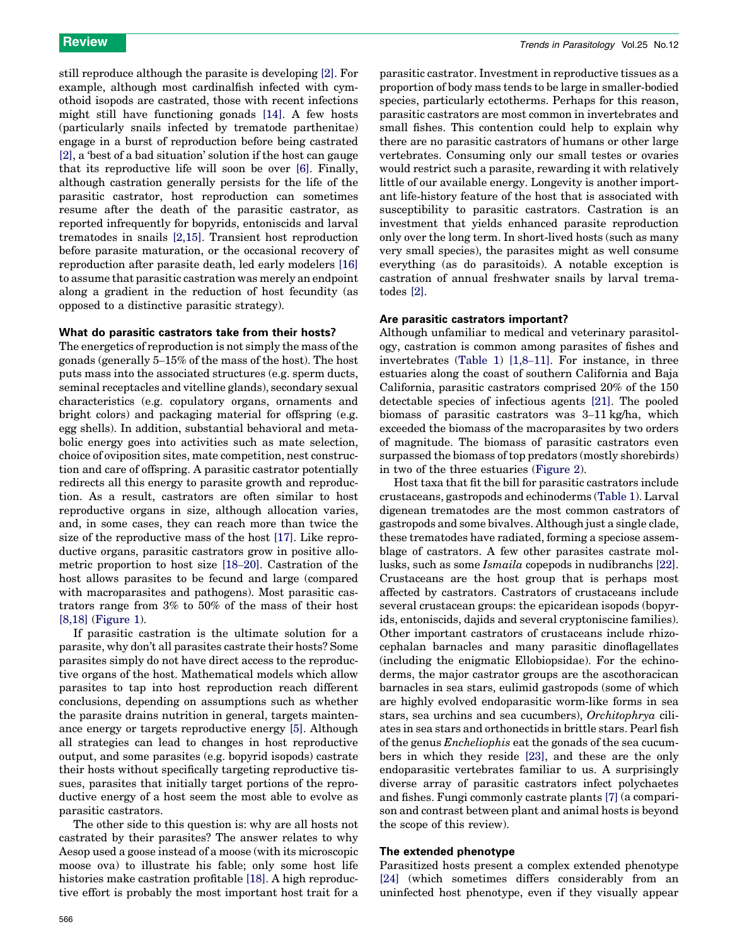still reproduce although the parasite is developing [\[2\].](#page-7-0) For example, although most cardinalfish infected with cymothoid isopods are castrated, those with recent infections might still have functioning gonads [\[14\].](#page-7-0) A few hosts (particularly snails infected by trematode parthenitae) engage in a burst of reproduction before being castrated [\[2\],](#page-7-0) a 'best of a bad situation' solution if the host can gauge that its reproductive life will soon be over [\[6\].](#page-7-0) Finally, although castration generally persists for the life of the parasitic castrator, host reproduction can sometimes resume after the death of the parasitic castrator, as reported infrequently for bopyrids, entoniscids and larval trematodes in snails [\[2,15\]](#page-7-0). Transient host reproduction before parasite maturation, or the occasional recovery of reproduction after parasite death, led early modelers [\[16\]](#page-7-0) to assume that parasitic castration was merely an endpoint along a gradient in the reduction of host fecundity (as opposed to a distinctive parasitic strategy).

#### What do parasitic castrators take from their hosts?

The energetics of reproduction is not simply the mass of the gonads (generally 5–15% of the mass of the host). The host puts mass into the associated structures (e.g. sperm ducts, seminal receptacles and vitelline glands), secondary sexual characteristics (e.g. copulatory organs, ornaments and bright colors) and packaging material for offspring (e.g. egg shells). In addition, substantial behavioral and metabolic energy goes into activities such as mate selection, choice of oviposition sites, mate competition, nest construction and care of offspring. A parasitic castrator potentially redirects all this energy to parasite growth and reproduction. As a result, castrators are often similar to host reproductive organs in size, although allocation varies, and, in some cases, they can reach more than twice the size of the reproductive mass of the host [\[17\]](#page-7-0). Like reproductive organs, parasitic castrators grow in positive allometric proportion to host size [18–[20\].](#page-7-0) Castration of the host allows parasites to be fecund and large (compared with macroparasites and pathogens). Most parasitic castrators range from 3% to 50% of the mass of their host [\[8,18\]](#page-7-0) [\(Figure 1](#page-3-0)).

If parasitic castration is the ultimate solution for a parasite, why don't all parasites castrate their hosts? Some parasites simply do not have direct access to the reproductive organs of the host. Mathematical models which allow parasites to tap into host reproduction reach different conclusions, depending on assumptions such as whether the parasite drains nutrition in general, targets maintenance energy or targets reproductive energy [\[5\]](#page-7-0). Although all strategies can lead to changes in host reproductive output, and some parasites (e.g. bopyrid isopods) castrate their hosts without specifically targeting reproductive tissues, parasites that initially target portions of the reproductive energy of a host seem the most able to evolve as parasitic castrators.

The other side to this question is: why are all hosts not castrated by their parasites? The answer relates to why Aesop used a goose instead of a moose (with its microscopic moose ova) to illustrate his fable; only some host life histories make castration profitable [\[18\].](#page-7-0) A high reproductive effort is probably the most important host trait for a parasitic castrator. Investment in reproductive tissues as a proportion of body mass tends to be large in smaller-bodied species, particularly ectotherms. Perhaps for this reason, parasitic castrators are most common in invertebrates and small fishes. This contention could help to explain why there are no parasitic castrators of humans or other large vertebrates. Consuming only our small testes or ovaries would restrict such a parasite, rewarding it with relatively little of our available energy. Longevity is another important life-history feature of the host that is associated with susceptibility to parasitic castrators. Castration is an investment that yields enhanced parasite reproduction only over the long term. In short-lived hosts (such as many very small species), the parasites might as well consume everything (as do parasitoids). A notable exception is castration of annual freshwater snails by larval trematodes [\[2\].](#page-7-0)

#### Are parasitic castrators important?

Although unfamiliar to medical and veterinary parasitology, castration is common among parasites of fishes and invertebrates ([Table 1](#page-1-0)) [\[1,8](#page-7-0)–11]. For instance, in three estuaries along the coast of southern California and Baja California, parasitic castrators comprised 20% of the 150 detectable species of infectious agents [\[21\].](#page-7-0) The pooled biomass of parasitic castrators was 3–11 kg/ha, which exceeded the biomass of the macroparasites by two orders of magnitude. The biomass of parasitic castrators even surpassed the biomass of top predators (mostly shorebirds) in two of the three estuaries ([Figure 2\)](#page-3-0).

Host taxa that fit the bill for parasitic castrators include crustaceans, gastropods and echinoderms ([Table 1](#page-1-0)). Larval digenean trematodes are the most common castrators of gastropods and some bivalves. Although just a single clade, these trematodes have radiated, forming a speciose assemblage of castrators. A few other parasites castrate mollusks, such as some Ismaila copepods in nudibranchs [\[22\]](#page-7-0). Crustaceans are the host group that is perhaps most affected by castrators. Castrators of crustaceans include several crustacean groups: the epicaridean isopods (bopyrids, entoniscids, dajids and several cryptoniscine families). Other important castrators of crustaceans include rhizocephalan barnacles and many parasitic dinoflagellates (including the enigmatic Ellobiopsidae). For the echinoderms, the major castrator groups are the ascothoracican barnacles in sea stars, eulimid gastropods (some of which are highly evolved endoparasitic worm-like forms in sea stars, sea urchins and sea cucumbers), Orchitophrya ciliates in sea stars and orthonectids in brittle stars. Pearl fish of the genus Encheliophis eat the gonads of the sea cucumbers in which they reside [\[23\]](#page-7-0), and these are the only endoparasitic vertebrates familiar to us. A surprisingly diverse array of parasitic castrators infect polychaetes and fishes. Fungi commonly castrate plants [\[7\]](#page-7-0) (a comparison and contrast between plant and animal hosts is beyond the scope of this review).

#### The extended phenotype

Parasitized hosts present a complex extended phenotype [\[24\]](#page-7-0) (which sometimes differs considerably from an uninfected host phenotype, even if they visually appear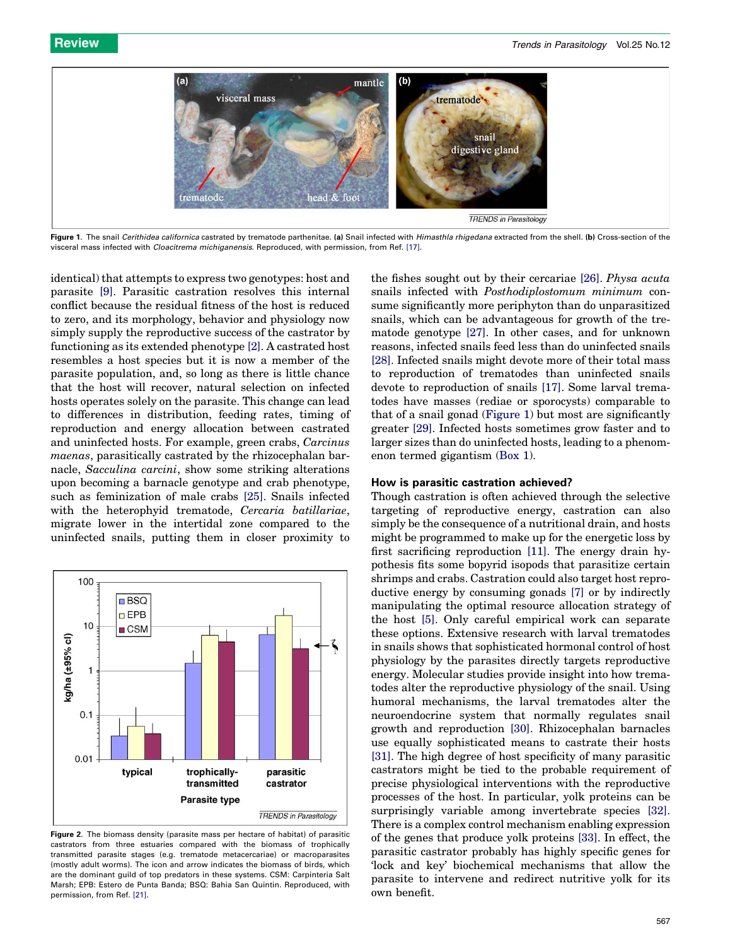<span id="page-3-0"></span>

Figure 1. The snail Cerithidea californica castrated by trematode parthenitae. (a) Snail infected with Himasthla rhigedana extracted from the shell. (b) Cross-section of the visceral mass infected with Cloacitrema michiganensis. Reproduced, with permission, from Ref. [\[17\]](#page-7-0).

identical) that attempts to express two genotypes: host and parasite [\[9\].](#page-7-0) Parasitic castration resolves this internal conflict because the residual fitness of the host is reduced to zero, and its morphology, behavior and physiology now simply supply the reproductive success of the castrator by functioning as its extended phenotype [\[2\].](#page-7-0) A castrated host resembles a host species but it is now a member of the parasite population, and, so long as there is little chance that the host will recover, natural selection on infected hosts operates solely on the parasite. This change can lead to differences in distribution, feeding rates, timing of reproduction and energy allocation between castrated and uninfected hosts. For example, green crabs, Carcinus maenas, parasitically castrated by the rhizocephalan barnacle, Sacculina carcini, show some striking alterations upon becoming a barnacle genotype and crab phenotype, such as feminization of male crabs [\[25\].](#page-7-0) Snails infected with the heterophyid trematode, Cercaria batillariae, migrate lower in the intertidal zone compared to the uninfected snails, putting them in closer proximity to



Figure 2. The biomass density (parasite mass per hectare of habitat) of parasitic castrators from three estuaries compared with the biomass of trophically transmitted parasite stages (e.g. trematode metacercariae) or macroparasites (mostly adult worms). The icon and arrow indicates the biomass of birds, which are the dominant guild of top predators in these systems. CSM: Carpinteria Salt Marsh; EPB: Estero de Punta Banda; BSQ: Bahia San Quintin. Reproduced, with permission, from Ref. [\[21\]](#page-7-0).

the fishes sought out by their cercariae [\[26\]](#page-7-0). Physa acuta snails infected with Posthodiplostomum minimum consume significantly more periphyton than do unparasitized snails, which can be advantageous for growth of the trematode genotype [\[27\].](#page-7-0) In other cases, and for unknown reasons, infected snails feed less than do uninfected snails [\[28\]](#page-7-0). Infected snails might devote more of their total mass to reproduction of trematodes than uninfected snails devote to reproduction of snails [\[17\]](#page-7-0). Some larval trematodes have masses (rediae or sporocysts) comparable to that of a snail gonad (Figure 1) but most are significantly greater [\[29\].](#page-7-0) Infected hosts sometimes grow faster and to larger sizes than do uninfected hosts, leading to a phenomenon termed gigantism [\(Box 1](#page-4-0)).

## How is parasitic castration achieved?

Though castration is often achieved through the selective targeting of reproductive energy, castration can also simply be the consequence of a nutritional drain, and hosts might be programmed to make up for the energetic loss by first sacrificing reproduction [\[11\].](#page-7-0) The energy drain hypothesis fits some bopyrid isopods that parasitize certain shrimps and crabs. Castration could also target host reproductive energy by consuming gonads [\[7\]](#page-7-0) or by indirectly manipulating the optimal resource allocation strategy of the host [\[5\].](#page-7-0) Only careful empirical work can separate these options. Extensive research with larval trematodes in snails shows that sophisticated hormonal control of host physiology by the parasites directly targets reproductive energy. Molecular studies provide insight into how trematodes alter the reproductive physiology of the snail. Using humoral mechanisms, the larval trematodes alter the neuroendocrine system that normally regulates snail growth and reproduction [\[30\].](#page-7-0) Rhizocephalan barnacles use equally sophisticated means to castrate their hosts [\[31\]](#page-7-0). The high degree of host specificity of many parasitic castrators might be tied to the probable requirement of precise physiological interventions with the reproductive processes of the host. In particular, yolk proteins can be surprisingly variable among invertebrate species [\[32\]](#page-7-0). There is a complex control mechanism enabling expression of the genes that produce yolk proteins [\[33\].](#page-7-0) In effect, the parasitic castrator probably has highly specific genes for 'lock and key' biochemical mechanisms that allow the parasite to intervene and redirect nutritive yolk for its own benefit.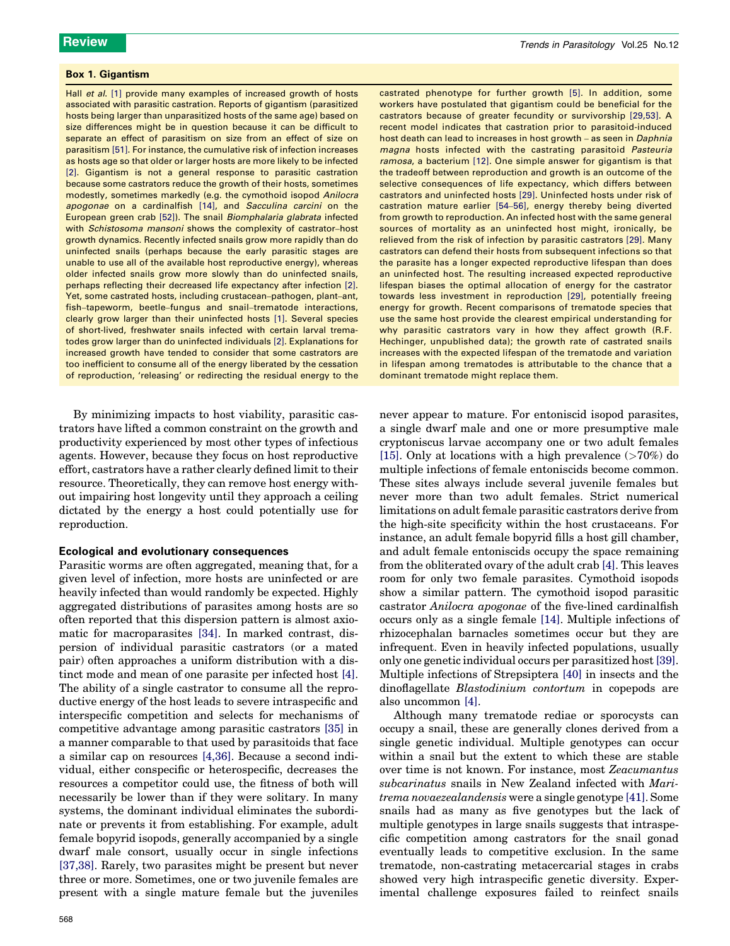#### <span id="page-4-0"></span>Box 1. Gigantism

Hall et al. [\[1\]](#page-7-0) provide many examples of increased growth of hosts associated with parasitic castration. Reports of gigantism (parasitized hosts being larger than unparasitized hosts of the same age) based on size differences might be in question because it can be difficult to separate an effect of parasitism on size from an effect of size on parasitism [\[51\]](#page-8-0). For instance, the cumulative risk of infection increases as hosts age so that older or larger hosts are more likely to be infected [\[2\]](#page-7-0). Gigantism is not a general response to parasitic castration because some castrators reduce the growth of their hosts, sometimes modestly, sometimes markedly (e.g. the cymothoid isopod Anilocra apogonae on a cardinalfish [\[14\],](#page-7-0) and Sacculina carcini on the European green crab [\[52\]\)](#page-8-0). The snail Biomphalaria glabrata infected with Schistosoma mansoni shows the complexity of castrator-host growth dynamics. Recently infected snails grow more rapidly than do uninfected snails (perhaps because the early parasitic stages are unable to use all of the available host reproductive energy), whereas older infected snails grow more slowly than do uninfected snails, perhaps reflecting their decreased life expectancy after infection [\[2\].](#page-7-0) Yet, some castrated hosts, including crustacean–pathogen, plant–ant, fish–tapeworm, beetle–fungus and snail–trematode interactions, clearly grow larger than their uninfected hosts [\[1\]](#page-7-0). Several species of short-lived, freshwater snails infected with certain larval trematodes grow larger than do uninfected individuals [\[2\].](#page-7-0) Explanations for increased growth have tended to consider that some castrators are too inefficient to consume all of the energy liberated by the cessation of reproduction, 'releasing' or redirecting the residual energy to the

By minimizing impacts to host viability, parasitic castrators have lifted a common constraint on the growth and productivity experienced by most other types of infectious agents. However, because they focus on host reproductive effort, castrators have a rather clearly defined limit to their resource. Theoretically, they can remove host energy without impairing host longevity until they approach a ceiling dictated by the energy a host could potentially use for reproduction.

#### Ecological and evolutionary consequences

Parasitic worms are often aggregated, meaning that, for a given level of infection, more hosts are uninfected or are heavily infected than would randomly be expected. Highly aggregated distributions of parasites among hosts are so often reported that this dispersion pattern is almost axiomatic for macroparasites [\[34\].](#page-7-0) In marked contrast, dispersion of individual parasitic castrators (or a mated pair) often approaches a uniform distribution with a distinct mode and mean of one parasite per infected host [\[4\]](#page-7-0). The ability of a single castrator to consume all the reproductive energy of the host leads to severe intraspecific and interspecific competition and selects for mechanisms of competitive advantage among parasitic castrators [\[35\]](#page-7-0) in a manner comparable to that used by parasitoids that face a similar cap on resources [\[4,36\].](#page-7-0) Because a second individual, either conspecific or heterospecific, decreases the resources a competitor could use, the fitness of both will necessarily be lower than if they were solitary. In many systems, the dominant individual eliminates the subordinate or prevents it from establishing. For example, adult female bopyrid isopods, generally accompanied by a single dwarf male consort, usually occur in single infections [\[37,38\]](#page-8-0). Rarely, two parasites might be present but never three or more. Sometimes, one or two juvenile females are present with a single mature female but the juveniles castrated phenotype for further growth [\[5\]](#page-7-0). In addition, some workers have postulated that gigantism could be beneficial for the castrators because of greater fecundity or survivorship [\[29,53\].](#page-7-0) A recent model indicates that castration prior to parasitoid-induced host death can lead to increases in host growth – as seen in Daphnia magna hosts infected with the castrating parasitoid Pasteuria ramosa, a bacterium [\[12\].](#page-7-0) One simple answer for gigantism is that the tradeoff between reproduction and growth is an outcome of the selective consequences of life expectancy, which differs between castrators and uninfected hosts [\[29\]](#page-7-0). Uninfected hosts under risk of castration mature earlier [54–[56\],](#page-8-0) energy thereby being diverted from growth to reproduction. An infected host with the same general sources of mortality as an uninfected host might, ironically, be relieved from the risk of infection by parasitic castrators [\[29\]](#page-7-0). Many castrators can defend their hosts from subsequent infections so that the parasite has a longer expected reproductive lifespan than does an uninfected host. The resulting increased expected reproductive lifespan biases the optimal allocation of energy for the castrator towards less investment in reproduction [\[29\],](#page-7-0) potentially freeing energy for growth. Recent comparisons of trematode species that use the same host provide the clearest empirical understanding for why parasitic castrators vary in how they affect growth (R.F. Hechinger, unpublished data); the growth rate of castrated snails increases with the expected lifespan of the trematode and variation in lifespan among trematodes is attributable to the chance that a dominant trematode might replace them.

never appear to mature. For entoniscid isopod parasites, a single dwarf male and one or more presumptive male cryptoniscus larvae accompany one or two adult females [\[15\]](#page-7-0). Only at locations with a high prevalence  $($ >70%) do multiple infections of female entoniscids become common. These sites always include several juvenile females but never more than two adult females. Strict numerical limitations on adult female parasitic castrators derive from the high-site specificity within the host crustaceans. For instance, an adult female bopyrid fills a host gill chamber, and adult female entoniscids occupy the space remaining from the obliterated ovary of the adult crab [\[4\].](#page-7-0) This leaves room for only two female parasites. Cymothoid isopods show a similar pattern. The cymothoid isopod parasitic castrator Anilocra apogonae of the five-lined cardinalfish occurs only as a single female [\[14\]](#page-7-0). Multiple infections of rhizocephalan barnacles sometimes occur but they are infrequent. Even in heavily infected populations, usually only one genetic individual occurs per parasitized host[\[39\]](#page-8-0). Multiple infections of Strepsiptera [\[40\]](#page-8-0) in insects and the dinoflagellate Blastodinium contortum in copepods are also uncommon [\[4\].](#page-7-0)

Although many trematode rediae or sporocysts can occupy a snail, these are generally clones derived from a single genetic individual. Multiple genotypes can occur within a snail but the extent to which these are stable over time is not known. For instance, most Zeacumantus subcarinatus snails in New Zealand infected with Maritrema novaezealandensis were a single genotype [\[41\].](#page-8-0) Some snails had as many as five genotypes but the lack of multiple genotypes in large snails suggests that intraspecific competition among castrators for the snail gonad eventually leads to competitive exclusion. In the same trematode, non-castrating metacercarial stages in crabs showed very high intraspecific genetic diversity. Experimental challenge exposures failed to reinfect snails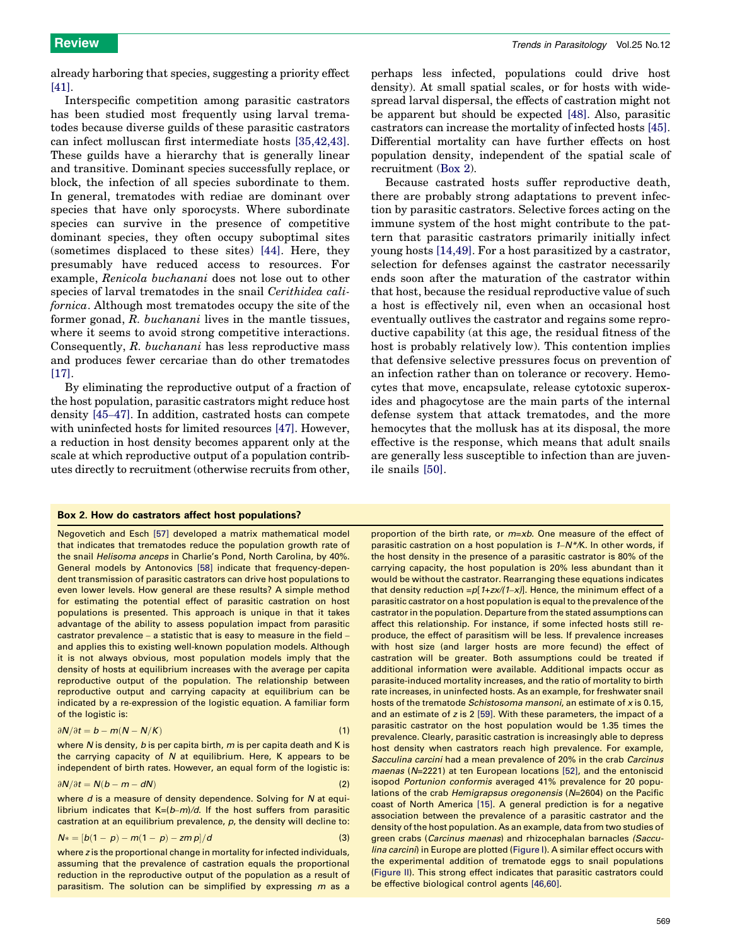already harboring that species, suggesting a priority effect [\[41\]](#page-8-0).

Interspecific competition among parasitic castrators has been studied most frequently using larval trematodes because diverse guilds of these parasitic castrators can infect molluscan first intermediate hosts [\[35,42,43\]](#page-7-0). These guilds have a hierarchy that is generally linear and transitive. Dominant species successfully replace, or block, the infection of all species subordinate to them. In general, trematodes with rediae are dominant over species that have only sporocysts. Where subordinate species can survive in the presence of competitive dominant species, they often occupy suboptimal sites (sometimes displaced to these sites) [\[44\].](#page-8-0) Here, they presumably have reduced access to resources. For example, Renicola buchanani does not lose out to other species of larval trematodes in the snail Cerithidea californica. Although most trematodes occupy the site of the former gonad, R. buchanani lives in the mantle tissues, where it seems to avoid strong competitive interactions. Consequently, R. buchanani has less reproductive mass and produces fewer cercariae than do other trematodes [\[17\]](#page-7-0).

By eliminating the reproductive output of a fraction of the host population, parasitic castrators might reduce host density [45–[47\]](#page-8-0). In addition, castrated hosts can compete with uninfected hosts for limited resources [\[47\]](#page-8-0). However, a reduction in host density becomes apparent only at the scale at which reproductive output of a population contributes directly to recruitment (otherwise recruits from other,

perhaps less infected, populations could drive host density). At small spatial scales, or for hosts with widespread larval dispersal, the effects of castration might not be apparent but should be expected [\[48\].](#page-8-0) Also, parasitic castrators can increase the mortality of infected hosts [\[45\]](#page-8-0). Differential mortality can have further effects on host population density, independent of the spatial scale of recruitment (Box 2).

Because castrated hosts suffer reproductive death, there are probably strong adaptations to prevent infection by parasitic castrators. Selective forces acting on the immune system of the host might contribute to the pattern that parasitic castrators primarily initially infect young hosts [\[14,49\]](#page-7-0). For a host parasitized by a castrator, selection for defenses against the castrator necessarily ends soon after the maturation of the castrator within that host, because the residual reproductive value of such a host is effectively nil, even when an occasional host eventually outlives the castrator and regains some reproductive capability (at this age, the residual fitness of the host is probably relatively low). This contention implies that defensive selective pressures focus on prevention of an infection rather than on tolerance or recovery. Hemocytes that move, encapsulate, release cytotoxic superoxides and phagocytose are the main parts of the internal defense system that attack trematodes, and the more hemocytes that the mollusk has at its disposal, the more effective is the response, which means that adult snails are generally less susceptible to infection than are juvenile snails [\[50\]](#page-8-0).

#### Box 2. How do castrators affect host populations?

Negovetich and Esch [\[57\]](#page-8-0) developed a matrix mathematical model that indicates that trematodes reduce the population growth rate of the snail Helisoma anceps in Charlie's Pond, North Carolina, by 40%. General models by Antonovics [\[58\]](#page-8-0) indicate that frequency-dependent transmission of parasitic castrators can drive host populations to even lower levels. How general are these results? A simple method for estimating the potential effect of parasitic castration on host populations is presented. This approach is unique in that it takes advantage of the ability to assess population impact from parasitic castrator prevalence – a statistic that is easy to measure in the field – and applies this to existing well-known population models. Although it is not always obvious, most population models imply that the density of hosts at equilibrium increases with the average per capita reproductive output of the population. The relationship between reproductive output and carrying capacity at equilibrium can be indicated by a re-expression of the logistic equation. A familiar form of the logistic is:

$$
\frac{\partial N}{\partial t} = b - m(N - N/K) \tag{1}
$$

where  $N$  is density,  $b$  is per capita birth,  $m$  is per capita death and  $K$  is the carrying capacity of N at equilibrium. Here, K appears to be independent of birth rates. However, an equal form of the logistic is:

$$
\frac{\partial N}{\partial t} = N(b - m - dN) \tag{2}
$$

where  $d$  is a measure of density dependence. Solving for  $N$  at equilibrium indicates that  $K=(b-m)/d$ . If the host suffers from parasitic castration at an equilibrium prevalence, p, the density will decline to:

$$
N^* = \frac{b(1-p) - m(1-p) - zm p}{d}
$$
 (3)

where z is the proportional change in mortality for infected individuals, assuming that the prevalence of castration equals the proportional reduction in the reproductive output of the population as a result of parasitism. The solution can be simplified by expressing m as a

proportion of the birth rate, or  $m=xb$ . One measure of the effect of parasitic castration on a host population is  $1-N*K$ . In other words, if the host density in the presence of a parasitic castrator is 80% of the carrying capacity, the host population is 20% less abundant than it would be without the castrator. Rearranging these equations indicates that density reduction =  $p[1+zx/(1-x)]$ . Hence, the minimum effect of a parasitic castrator on a host population is equal to the prevalence of the castrator in the population. Departure from the stated assumptions can affect this relationship. For instance, if some infected hosts still reproduce, the effect of parasitism will be less. If prevalence increases with host size (and larger hosts are more fecund) the effect of castration will be greater. Both assumptions could be treated if additional information were available. Additional impacts occur as parasite-induced mortality increases, and the ratio of mortality to birth rate increases, in uninfected hosts. As an example, for freshwater snail hosts of the trematode Schistosoma mansoni, an estimate of x is 0.15, and an estimate of z is 2 [\[59\].](#page-8-0) With these parameters, the impact of a parasitic castrator on the host population would be 1.35 times the prevalence. Clearly, parasitic castration is increasingly able to depress host density when castrators reach high prevalence. For example, Sacculina carcini had a mean prevalence of 20% in the crab Carcinus maenas (N=2221) at ten European locations [\[52\]](#page-8-0), and the entoniscid isopod Portunion conformis averaged 41% prevalence for 20 populations of the crab Hemigrapsus oregonensis (N=2604) on the Pacific coast of North America [\[15\].](#page-7-0) A general prediction is for a negative association between the prevalence of a parasitic castrator and the density of the host population. As an example, data from two studies of green crabs (Carcinus maenas) and rhizocephalan barnacles (Sacculina carcini) in Europe are plotted ([Figure I\)](#page-6-0). A similar effect occurs with the experimental addition of trematode eggs to snail populations [\(Figure II](#page-6-0)). This strong effect indicates that parasitic castrators could be effective biological control agents [\[46,60\]](#page-8-0).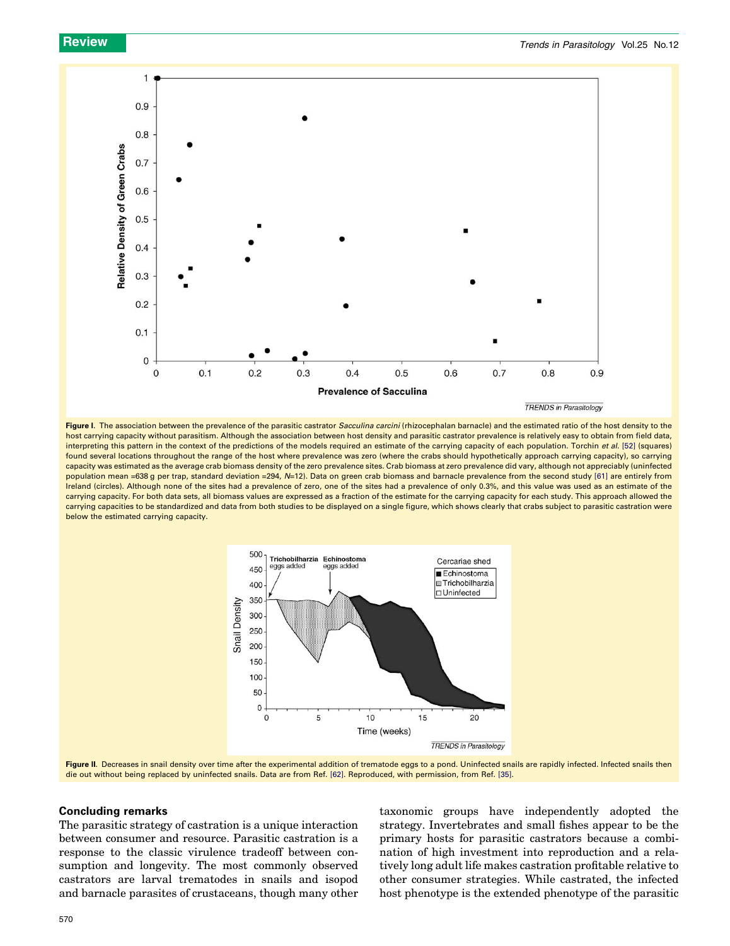<span id="page-6-0"></span>

**TRENDS** in Parasitology

Figure I. The association between the prevalence of the parasitic castrator Sacculina carcini (rhizocephalan barnacle) and the estimated ratio of the host density to the host carrying capacity without parasitism. Although the association between host density and parasitic castrator prevalence is relatively easy to obtain from field data, interpreting this pattern in the context of the predictions of the models required an estimate of the carrying capacity of each population. Torchin et al. [\[52\]](#page-8-0) (squares) found several locations throughout the range of the host where prevalence was zero (where the crabs should hypothetically approach carrying capacity), so carrying capacity was estimated as the average crab biomass density of the zero prevalence sites. Crab biomass at zero prevalence did vary, although not appreciably (uninfected population mean =638 g per trap, standard deviation =294, N=12). Data on green crab biomass and barnacle prevalence from the second study [\[61\]](#page-8-0) are entirely from Ireland (circles). Although none of the sites had a prevalence of zero, one of the sites had a prevalence of only 0.3%, and this value was used as an estimate of the carrying capacity. For both data sets, all biomass values are expressed as a fraction of the estimate for the carrying capacity for each study. This approach allowed the carrying capacities to be standardized and data from both studies to be displayed on a single figure, which shows clearly that crabs subject to parasitic castration were below the estimated carrying capacity.



Figure II. Decreases in snail density over time after the experimental addition of trematode eggs to a pond. Uninfected snails are rapidly infected. Infected snails then die out without being replaced by uninfected snails. Data are from Ref. [\[62\].](#page-8-0) Reproduced, with permission, from Ref. [\[35\].](#page-7-0)

#### Concluding remarks

The parasitic strategy of castration is a unique interaction between consumer and resource. Parasitic castration is a response to the classic virulence tradeoff between consumption and longevity. The most commonly observed castrators are larval trematodes in snails and isopod and barnacle parasites of crustaceans, though many other taxonomic groups have independently adopted the strategy. Invertebrates and small fishes appear to be the primary hosts for parasitic castrators because a combination of high investment into reproduction and a relatively long adult life makes castration profitable relative to other consumer strategies. While castrated, the infected host phenotype is the extended phenotype of the parasitic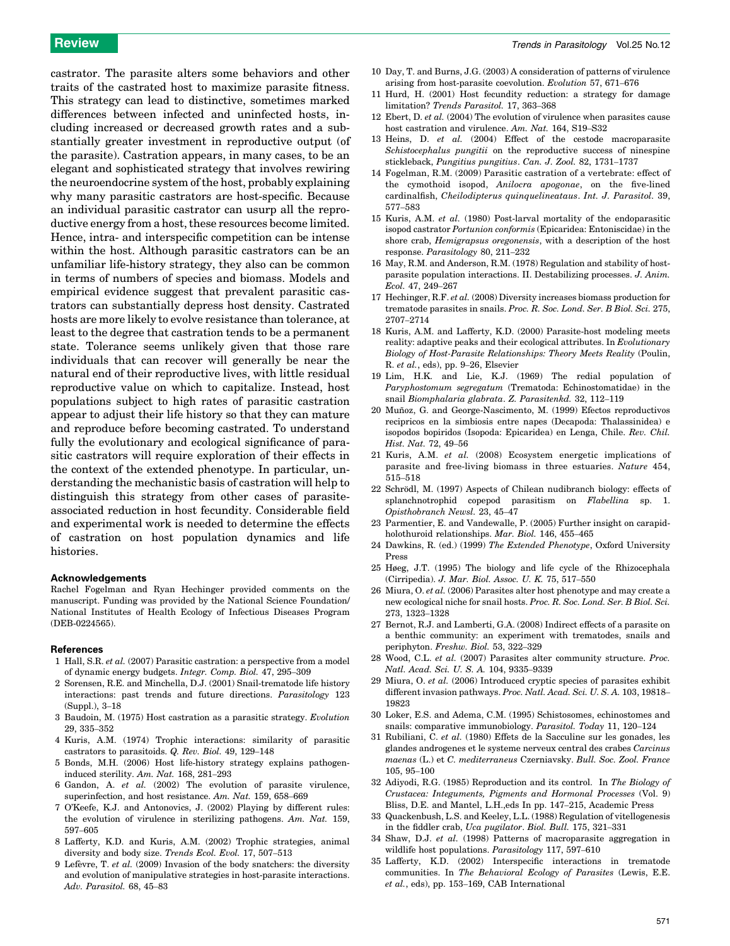<span id="page-7-0"></span>castrator. The parasite alters some behaviors and other traits of the castrated host to maximize parasite fitness. This strategy can lead to distinctive, sometimes marked differences between infected and uninfected hosts, including increased or decreased growth rates and a substantially greater investment in reproductive output (of the parasite). Castration appears, in many cases, to be an elegant and sophisticated strategy that involves rewiring the neuroendocrine system of the host, probably explaining why many parasitic castrators are host-specific. Because an individual parasitic castrator can usurp all the reproductive energy from a host, these resources become limited. Hence, intra- and interspecific competition can be intense within the host. Although parasitic castrators can be an unfamiliar life-history strategy, they also can be common in terms of numbers of species and biomass. Models and empirical evidence suggest that prevalent parasitic castrators can substantially depress host density. Castrated hosts are more likely to evolve resistance than tolerance, at least to the degree that castration tends to be a permanent state. Tolerance seems unlikely given that those rare individuals that can recover will generally be near the natural end of their reproductive lives, with little residual reproductive value on which to capitalize. Instead, host populations subject to high rates of parasitic castration appear to adjust their life history so that they can mature and reproduce before becoming castrated. To understand fully the evolutionary and ecological significance of parasitic castrators will require exploration of their effects in the context of the extended phenotype. In particular, understanding the mechanistic basis of castration will help to distinguish this strategy from other cases of parasiteassociated reduction in host fecundity. Considerable field and experimental work is needed to determine the effects of castration on host population dynamics and life histories.

## Acknowledgements

Rachel Fogelman and Ryan Hechinger provided comments on the manuscript. Funding was provided by the National Science Foundation/ National Institutes of Health Ecology of Infectious Diseases Program (DEB-0224565).

#### References

- 1 Hall, S.R. et al. (2007) Parasitic castration: a perspective from a model of dynamic energy budgets. Integr. Comp. Biol. 47, 295–309
- 2 Sorensen, R.E. and Minchella, D.J. (2001) Snail-trematode life history interactions: past trends and future directions. Parasitology 123 (Suppl.), 3–18
- 3 Baudoin, M. (1975) Host castration as a parasitic strategy. Evolution 29, 335–352
- 4 Kuris, A.M. (1974) Trophic interactions: similarity of parasitic castrators to parasitoids. Q. Rev. Biol. 49, 129–148
- 5 Bonds, M.H. (2006) Host life-history strategy explains pathogeninduced sterility. Am. Nat. 168, 281–293
- 6 Gandon, A. et al. (2002) The evolution of parasite virulence, superinfection, and host resistance. Am. Nat. 159, 658–669
- 7 O'Keefe, K.J. and Antonovics, J. (2002) Playing by different rules: the evolution of virulence in sterilizing pathogens. Am. Nat. 159, 597–605
- 8 Lafferty, K.D. and Kuris, A.M. (2002) Trophic strategies, animal diversity and body size. Trends Ecol. Evol. 17, 507–513
- 9 Lefèvre, T. et al.  $(2009)$  Invasion of the body snatchers: the diversity and evolution of manipulative strategies in host-parasite interactions. Adv. Parasitol. 68, 45–83
- 10 Day, T. and Burns, J.G. (2003) A consideration of patterns of virulence arising from host-parasite coevolution. Evolution 57, 671–676
- 11 Hurd, H. (2001) Host fecundity reduction: a strategy for damage limitation? Trends Parasitol. 17, 363–368
- 12 Ebert, D. et al. (2004) The evolution of virulence when parasites cause host castration and virulence. Am. Nat. 164, S19–S32
- 13 Heins, D. et al. (2004) Effect of the cestode macroparasite Schistocephalus pungitii on the reproductive success of ninespine stickleback, Pungitius pungitius. Can. J. Zool. 82, 1731–1737
- 14 Fogelman, R.M. (2009) Parasitic castration of a vertebrate: effect of the cymothoid isopod, Anilocra apogonae, on the five-lined cardinalfish, Cheilodipterus quinquelineataus. Int. J. Parasitol. 39, 577–583
- 15 Kuris, A.M. et al. (1980) Post-larval mortality of the endoparasitic isopod castrator Portunion conformis (Epicaridea: Entoniscidae) in the shore crab, Hemigrapsus oregonensis, with a description of the host response. Parasitology 80, 211–232
- 16 May, R.M. and Anderson, R.M. (1978) Regulation and stability of hostparasite population interactions. II. Destabilizing processes. J. Anim. Ecol. 47, 249–267
- 17 Hechinger, R.F. et al. (2008) Diversity increases biomass production for trematode parasites in snails. Proc. R. Soc. Lond. Ser. B Biol. Sci. 275, 2707–2714
- 18 Kuris, A.M. and Lafferty, K.D. (2000) Parasite-host modeling meets reality: adaptive peaks and their ecological attributes. In Evolutionary Biology of Host-Parasite Relationships: Theory Meets Reality (Poulin, R. et al., eds), pp. 9–26, Elsevier
- 19 Lim, H.K. and Lie, K.J. (1969) The redial population of Paryphostomum segregatum (Trematoda: Echinostomatidae) in the snail Biomphalaria glabrata. Z. Parasitenkd. 32, 112–119
- 20 Muñoz, G. and George-Nascimento, M. (1999) Efectos reproductivos recipricos en la simbiosis entre napes (Decapoda: Thalassinidea) e isopodos bopiridos (Isopoda: Epicaridea) en Lenga, Chile. Rev. Chil. Hist. Nat. 72, 49–56
- 21 Kuris, A.M. et al. (2008) Ecosystem energetic implications of parasite and free-living biomass in three estuaries. Nature 454, 515–518
- 22 Schrödl, M. (1997) Aspects of Chilean nudibranch biology: effects of splanchnotrophid copepod parasitism on Flabellina sp. 1. Opisthobranch Newsl. 23, 45–47
- 23 Parmentier, E. and Vandewalle, P. (2005) Further insight on carapidholothuroid relationships. Mar. Biol. 146, 455–465
- 24 Dawkins, R. (ed.) (1999) The Extended Phenotype, Oxford University Press
- 25 Høeg, J.T. (1995) The biology and life cycle of the Rhizocephala (Cirripedia). J. Mar. Biol. Assoc. U. K. 75, 517–550
- 26 Miura, O. et al. (2006) Parasites alter host phenotype and may create a new ecological niche for snail hosts. Proc. R. Soc. Lond. Ser. B Biol. Sci. 273, 1323–1328
- 27 Bernot, R.J. and Lamberti, G.A. (2008) Indirect effects of a parasite on a benthic community: an experiment with trematodes, snails and periphyton. Freshw. Biol. 53, 322–329
- 28 Wood, C.L. et al. (2007) Parasites alter community structure. Proc. Natl. Acad. Sci. U. S. A. 104, 9335–9339
- 29 Miura, O. et al. (2006) Introduced cryptic species of parasites exhibit different invasion pathways. Proc. Natl. Acad. Sci. U. S. A. 103, 19818– 19823
- 30 Loker, E.S. and Adema, C.M. (1995) Schistosomes, echinostomes and snails: comparative immunobiology. Parasitol. Today 11, 120–124
- 31 Rubiliani, C. et al. (1980) Effets de la Sacculine sur les gonades, les glandes androgenes et le systeme nerveux central des crabes Carcinus maenas (L.) et C. mediterraneus Czerniavsky. Bull. Soc. Zool. France 105, 95–100
- 32 Adiyodi, R.G. (1985) Reproduction and its control. In The Biology of Crustacea: Integuments, Pigments and Hormonal Processes (Vol. 9) Bliss, D.E. and Mantel, L.H.,eds In pp. 147–215, Academic Press
- 33 Quackenbush, L.S. and Keeley, L.L. (1988) Regulation of vitellogenesis in the fiddler crab, Uca pugilator. Biol. Bull. 175, 321–331
- 34 Shaw, D.J. et al. (1998) Patterns of macroparasite aggregation in wildlife host populations. Parasitology 117, 597–610
- 35 Lafferty, K.D. (2002) Interspecific interactions in trematode communities. In The Behavioral Ecology of Parasites (Lewis, E.E. et al., eds), pp. 153–169, CAB International